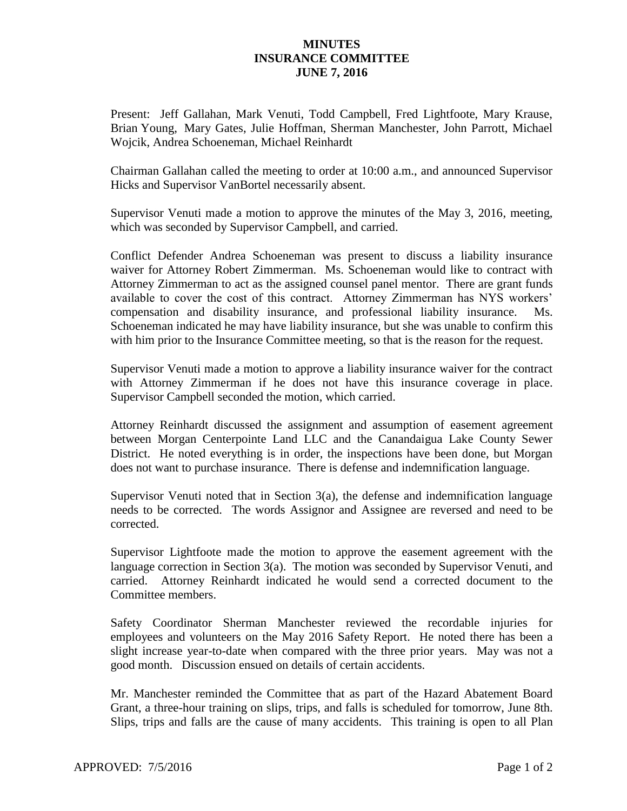## **MINUTES INSURANCE COMMITTEE JUNE 7, 2016**

Present: Jeff Gallahan, Mark Venuti, Todd Campbell, Fred Lightfoote, Mary Krause, Brian Young, Mary Gates, Julie Hoffman, Sherman Manchester, John Parrott, Michael Wojcik, Andrea Schoeneman, Michael Reinhardt

Chairman Gallahan called the meeting to order at 10:00 a.m., and announced Supervisor Hicks and Supervisor VanBortel necessarily absent.

Supervisor Venuti made a motion to approve the minutes of the May 3, 2016, meeting, which was seconded by Supervisor Campbell, and carried.

Conflict Defender Andrea Schoeneman was present to discuss a liability insurance waiver for Attorney Robert Zimmerman. Ms. Schoeneman would like to contract with Attorney Zimmerman to act as the assigned counsel panel mentor. There are grant funds available to cover the cost of this contract. Attorney Zimmerman has NYS workers' compensation and disability insurance, and professional liability insurance. Ms. Schoeneman indicated he may have liability insurance, but she was unable to confirm this with him prior to the Insurance Committee meeting, so that is the reason for the request.

Supervisor Venuti made a motion to approve a liability insurance waiver for the contract with Attorney Zimmerman if he does not have this insurance coverage in place. Supervisor Campbell seconded the motion, which carried.

Attorney Reinhardt discussed the assignment and assumption of easement agreement between Morgan Centerpointe Land LLC and the Canandaigua Lake County Sewer District. He noted everything is in order, the inspections have been done, but Morgan does not want to purchase insurance. There is defense and indemnification language.

Supervisor Venuti noted that in Section 3(a), the defense and indemnification language needs to be corrected. The words Assignor and Assignee are reversed and need to be corrected.

Supervisor Lightfoote made the motion to approve the easement agreement with the language correction in Section 3(a). The motion was seconded by Supervisor Venuti, and carried. Attorney Reinhardt indicated he would send a corrected document to the Committee members.

Safety Coordinator Sherman Manchester reviewed the recordable injuries for employees and volunteers on the May 2016 Safety Report. He noted there has been a slight increase year-to-date when compared with the three prior years. May was not a good month. Discussion ensued on details of certain accidents.

Mr. Manchester reminded the Committee that as part of the Hazard Abatement Board Grant, a three-hour training on slips, trips, and falls is scheduled for tomorrow, June 8th. Slips, trips and falls are the cause of many accidents. This training is open to all Plan